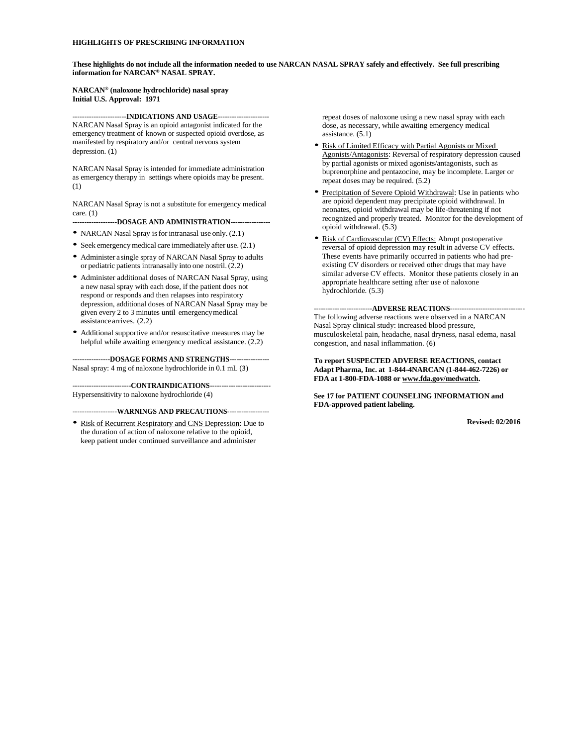#### **HIGHLIGHTS OF PRESCRIBING INFORMATION**

**These highlights do not include all the information needed to use NARCAN NASAL SPRAY safely and effectively. See full prescribing information for NARCAN® NASAL SPRAY.**

#### **NARCAN® (naloxone hydrochloride) nasal spray Initial U.S. Approval: 1971**

**-----------------------INDICATIONS AND USAGE----------------------** NARCAN Nasal Spray is an opioid antagonist indicated for the emergency treatment of known or suspected opioid overdose, as manifested by respiratory and/or central nervous system depression. ([1](#page-1-0))

NARCAN Nasal Spray is intended for immediate administration as emergency therapy in settings where opioids may be present. ([1](#page-1-0))

NARCAN Nasal Spray is not a substitute for emergency medical care. ([1](#page-1-0))

**-------------------DOSAGE AND ADMINISTRATION-----------------**

- NARCAN Nasal Spray is for intranasal use only. [\(2.1\)](#page-1-1)
- Seek emergency medical care immediately after use. [\(2.1\)](#page-1-1)
- Administer a single spray of NARCAN Nasal Spray to adults or pediatric patients intranasally into one nostril. [\(2.2\)](#page-1-2)
- Administer additional doses of NARCAN Nasal Spray, using a new nasal spray with each dose, if the patient does not respond or responds and then relapses into respiratory depression, additional doses of NARCAN Nasal Spray may be given every 2 to 3 minutes until emergency medical assistance arrives. [\(2.2\)](#page-1-2)
- Additional supportive and/or resuscitative measures may be helpful while awaiting emergency medical assistance.  $(2.2)$

**----------------DOSAGE FORMS AND STRENGTHS-----------------**  Nasal spray: 4 mg of naloxone hydrochloride in 0.1 mL ([3](#page-1-3))

**-------------------------CONTRAINDICATIONS--------------------------**  Hypersensitivity to naloxone hydrochloride (4)

#### **-------------------WARNINGS AND PRECAUTIONS------------------**

• Risk of Recurrent Respiratory and CNS Depression: Due to the duration of action of naloxone relative to the opioid, keep patient under continued surveillance and administer

repeat doses of naloxone using a new nasal spray with each dose, as necessary, while awaiting emergency medical assistance. [\(5.1\)](#page-1-4)

- Risk of Limited Efficacy with Partial Agonists or Mixed Agonists/Antagonists: Reversal of respiratory depression caused by partial agonists or mixed agonists/antagonists, such as buprenorphine and pentazocine, may be incomplete. Larger or repeat doses may be required. [\(5.2\)](#page-1-5)
- Precipitation of Severe Opioid Withdrawal: Use in patients who are opioid dependent may precipitate opioid withdrawal. In neonates, opioid withdrawal may be life-threatening if not recognized and properly treated. Monitor for the development of opioid withdrawal. [\(5.3\)](#page-1-6)
- Risk of Cardiovascular (CV) Effects: Abrupt postoperative reversal of opioid depression may result in adverse CV effects. These events have primarily occurred in patients who had preexisting CV disorders or received other drugs that may have similar adverse CV effects. Monitor these patients closely in an appropriate healthcare setting after use of naloxone hydrochloride. [\(5.3\)](#page-1-6)

**-------------------------ADVERSE REACTIONS--------------------------------** The following adverse reactions were observed in a NARCAN Nasal Spray clinical study: increased blood pressure, musculoskeletal pain, headache, nasal dryness, nasal edema, nasal congestion, and nasal inflammation. ([6](#page-1-7))

#### **To report SUSPECTED ADVERSE REACTIONS, contact Adapt Pharma, Inc. at 1-844-4NARCAN (1-844-462-7226) or FDA at 1-800-FDA-1088 o[r www.fda.gov/medwatch.](http://www.fda.gov/medwatch)**

**Se[e 17](#page-1-8) for PATIENT COUNSELING INFORMATION and FDA-approved patient labeling.**

**Revised: 02/2016**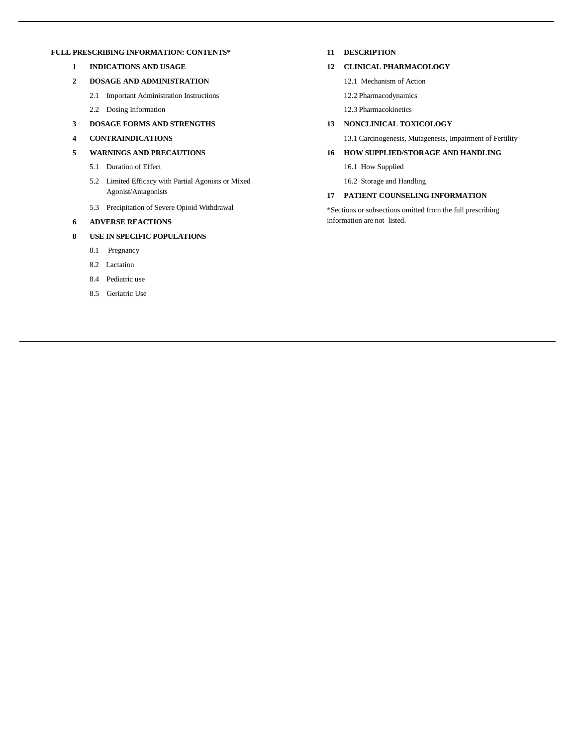#### <span id="page-1-0"></span>**FULL PRESCRIBING INFORMATION: CONTENTS\***

- **1 INDICATIONS AND USAGE**
- <span id="page-1-1"></span>**2 DOSAGE AND ADMINISTRATION**
	- 2.1 Important Administration Instructions
	- 2.2 Dosing Information
- <span id="page-1-3"></span><span id="page-1-2"></span>**3 DOSAGE FORMS AND STRENGTHS**
- **4 CONTRAINDICATIONS**
- <span id="page-1-5"></span><span id="page-1-4"></span>**5 WARNINGS AND PRECAUTIONS**
	- 5.1 Duration of Effect
	- 5.2 Limited Efficacy with Partial Agonists or Mixed Agonist/Antagonists
	- 5.3 Precipitation of Severe Opioid Withdrawal
- <span id="page-1-7"></span><span id="page-1-6"></span>**6 ADVERSE REACTIONS**
- <span id="page-1-9"></span>**8 USE IN SPECIFIC POPULATIONS**
	- 8.1 Pregnancy
	- 8.2 Lactation
	- 8.4 Pediatric use
	- 8.5 Geriatric Use

#### **11 DESCRIPTION**

#### **12 CLINICAL PHARMACOLOGY**

- 12.1 Mechanism of Action
- 12.2 Pharmacodynamics
- 12.3 Pharmacokinetics

#### **13 NONCLINICAL TOXICOLOGY**

13.1 Carcinogenesis, Mutagenesis, Impairment of Fertility

#### **16 HOW SUPPLIED/STORAGE AND HANDLING**

- 16.1 How Supplied
- 16.2 Storage and Handling

#### <span id="page-1-8"></span>**17 PATIENT COUNSELING INFORMATION**

\*Sections or subsections omitted from the full prescribing information are not listed.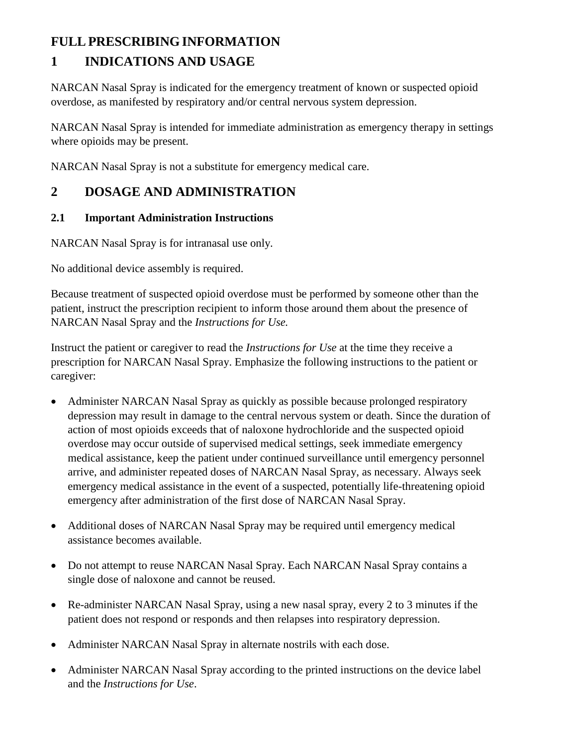# **FULLPRESCRIBING INFORMATION**

# **1 INDICATIONS AND USAGE**

NARCAN Nasal Spray is indicated for the emergency treatment of known or suspected opioid overdose, as manifested by respiratory and/or central nervous system depression.

NARCAN Nasal Spray is intended for immediate administration as emergency therapy in settings where opioids may be present.

NARCAN Nasal Spray is not a substitute for emergency medical care.

# **2 DOSAGE AND ADMINISTRATION**

## **2.1 Important Administration Instructions**

NARCAN Nasal Spray is for intranasal use only.

No additional device assembly is required.

Because treatment of suspected opioid overdose must be performed by someone other than the patient, instruct the prescription recipient to inform those around them about the presence of NARCAN Nasal Spray and the *Instructions for Use.*

Instruct the patient or caregiver to read the *Instructions for Use* at the time they receive a prescription for NARCAN Nasal Spray. Emphasize the following instructions to the patient or caregiver:

- Administer NARCAN Nasal Spray as quickly as possible because prolonged respiratory depression may result in damage to the central nervous system or death. Since the duration of action of most opioids exceeds that of naloxone hydrochloride and the suspected opioid overdose may occur outside of supervised medical settings, seek immediate emergency medical assistance, keep the patient under continued surveillance until emergency personnel arrive, and administer repeated doses of NARCAN Nasal Spray, as necessary. Always seek emergency medical assistance in the event of a suspected, potentially life-threatening opioid emergency after administration of the first dose of NARCAN Nasal Spray.
- Additional doses of NARCAN Nasal Spray may be required until emergency medical assistance becomes available.
- Do not attempt to reuse NARCAN Nasal Spray. Each NARCAN Nasal Spray contains a single dose of naloxone and cannot be reused.
- Re-administer NARCAN Nasal Spray, using a new nasal spray, every 2 to 3 minutes if the patient does not respond or responds and then relapses into respiratory depression.
- Administer NARCAN Nasal Spray in alternate nostrils with each dose.
- Administer NARCAN Nasal Spray according to the printed instructions on the device label and the *Instructions for Use*.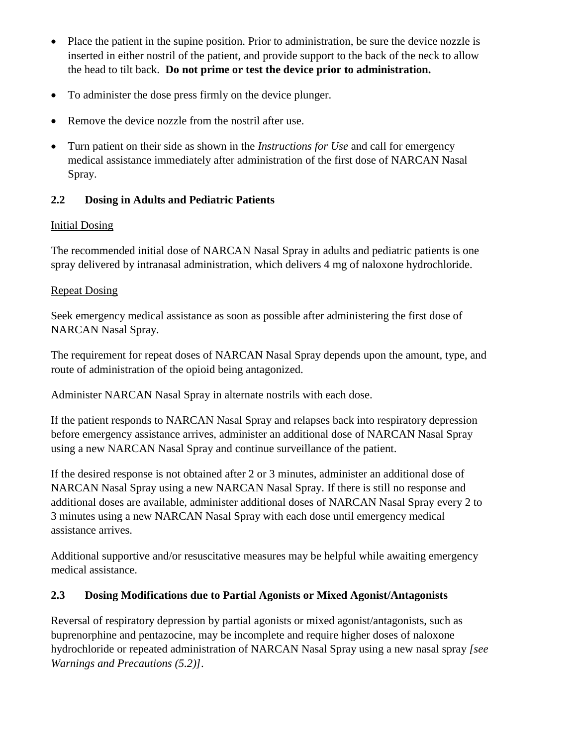- Place the patient in the supine position. Prior to administration, be sure the device nozzle is inserted in either nostril of the patient, and provide support to the back of the neck to allow the head to tilt back. **Do not prime or test the device prior to administration.**
- To administer the dose press firmly on the device plunger.
- Remove the device nozzle from the nostril after use.
- Turn patient on their side as shown in the *Instructions for Use* and call for emergency medical assistance immediately after administration of the first dose of NARCAN Nasal Spray.

# **2.2 Dosing in Adults and Pediatric Patients**

# Initial Dosing

The recommended initial dose of NARCAN Nasal Spray in adults and pediatric patients is one spray delivered by intranasal administration, which delivers 4 mg of naloxone hydrochloride.

# Repeat Dosing

Seek emergency medical assistance as soon as possible after administering the first dose of NARCAN Nasal Spray.

The requirement for repeat doses of NARCAN Nasal Spray depends upon the amount, type, and route of administration of the opioid being antagonized.

Administer NARCAN Nasal Spray in alternate nostrils with each dose.

If the patient responds to NARCAN Nasal Spray and relapses back into respiratory depression before emergency assistance arrives, administer an additional dose of NARCAN Nasal Spray using a new NARCAN Nasal Spray and continue surveillance of the patient.

If the desired response is not obtained after 2 or 3 minutes, administer an additional dose of NARCAN Nasal Spray using a new NARCAN Nasal Spray. If there is still no response and additional doses are available, administer additional doses of NARCAN Nasal Spray every 2 to 3 minutes using a new NARCAN Nasal Spray with each dose until emergency medical assistance arrives.

Additional supportive and/or resuscitative measures may be helpful while awaiting emergency medical assistance.

# <span id="page-3-0"></span>**2.3 Dosing Modifications due to Partial Agonists or Mixed Agonist/Antagonists**

Reversal of respiratory depression by partial agonists or mixed agonist/antagonists, such as buprenorphine and pentazocine, may be incomplete and require higher doses of naloxone hydrochloride or repeated administration of NARCAN Nasal Spray using a new nasal spray *[see Warnings and Precautions [\(5.2\)](#page-1-5)]*.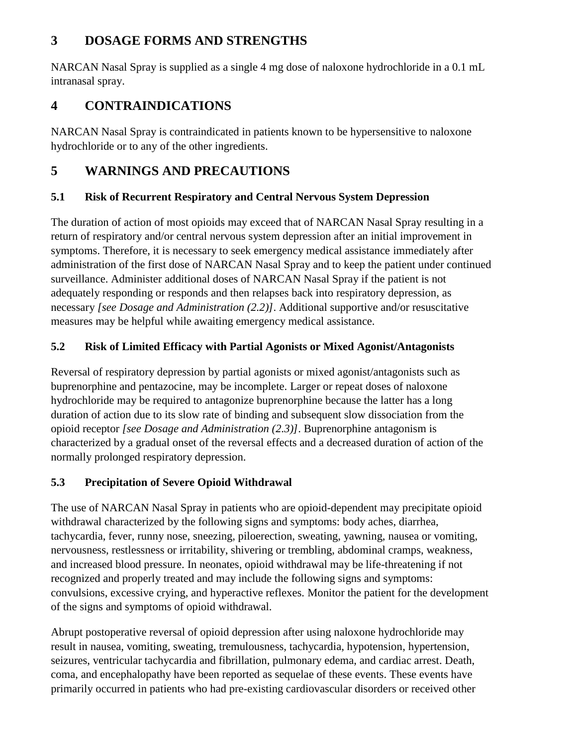# **3 DOSAGE FORMS AND STRENGTHS**

NARCAN Nasal Spray is supplied as a single 4 mg dose of naloxone hydrochloride in a 0.1 mL intranasal spray.

# **4 CONTRAINDICATIONS**

NARCAN Nasal Spray is contraindicated in patients known to be hypersensitive to naloxone hydrochloride or to any of the other ingredients.

# **5 WARNINGS AND PRECAUTIONS**

# **5.1 Risk of Recurrent Respiratory and Central Nervous System Depression**

The duration of action of most opioids may exceed that of NARCAN Nasal Spray resulting in a return of respiratory and/or central nervous system depression after an initial improvement in symptoms. Therefore, it is necessary to seek emergency medical assistance immediately after administration of the first dose of NARCAN Nasal Spray and to keep the patient under continued surveillance. Administer additional doses of NARCAN Nasal Spray if the patient is not adequately responding or responds and then relapses back into respiratory depression, as necessary *[see Dosage and Administration [\(2.2\)](#page-1-2)]*. Additional supportive and/or resuscitative measures may be helpful while awaiting emergency medical assistance.

# **5.2 Risk of Limited Efficacy with Partial Agonists or Mixed Agonist/Antagonists**

Reversal of respiratory depression by partial agonists or mixed agonist/antagonists such as buprenorphine and pentazocine, may be incomplete. Larger or repeat doses of naloxone hydrochloride may be required to antagonize buprenorphine because the latter has a long duration of action due to its slow rate of binding and subsequent slow dissociation from the opioid receptor *[see Dosage and Administration [\(2.3\)](#page-3-0)]*. Buprenorphine antagonism is characterized by a gradual onset of the reversal effects and a decreased duration of action of the normally prolonged respiratory depression.

# **5.3 Precipitation of Severe Opioid Withdrawal**

The use of NARCAN Nasal Spray in patients who are opioid-dependent may precipitate opioid withdrawal characterized by the following signs and symptoms: body aches, diarrhea, tachycardia, fever, runny nose, sneezing, piloerection, sweating, yawning, nausea or vomiting, nervousness, restlessness or irritability, shivering or trembling, abdominal cramps, weakness, and increased blood pressure. In neonates, opioid withdrawal may be life-threatening if not recognized and properly treated and may include the following signs and symptoms: convulsions, excessive crying, and hyperactive reflexes*.* Monitor the patient for the development of the signs and symptoms of opioid withdrawal.

Abrupt postoperative reversal of opioid depression after using naloxone hydrochloride may result in nausea, vomiting, sweating, tremulousness, tachycardia, hypotension, hypertension, seizures, ventricular tachycardia and fibrillation, pulmonary edema, and cardiac arrest. Death, coma, and encephalopathy have been reported as sequelae of these events. These events have primarily occurred in patients who had pre-existing cardiovascular disorders or received other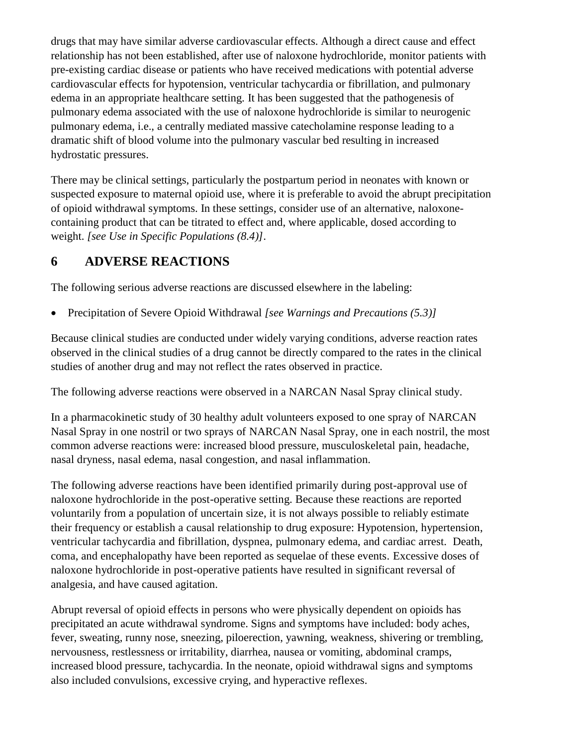drugs that may have similar adverse cardiovascular effects. Although a direct cause and effect relationship has not been established, after use of naloxone hydrochloride, monitor patients with pre-existing cardiac disease or patients who have received medications with potential adverse cardiovascular effects for hypotension, ventricular tachycardia or fibrillation, and pulmonary edema in an appropriate healthcare setting. It has been suggested that the pathogenesis of pulmonary edema associated with the use of naloxone hydrochloride is similar to neurogenic pulmonary edema, i.e., a centrally mediated massive catecholamine response leading to a dramatic shift of blood volume into the pulmonary vascular bed resulting in increased hydrostatic pressures.

There may be clinical settings, particularly the postpartum period in neonates with known or suspected exposure to maternal opioid use, where it is preferable to avoid the abrupt precipitation of opioid withdrawal symptoms. In these settings, consider use of an alternative, naloxonecontaining product that can be titrated to effect and, where applicable, dosed according to weight. *[see Use in Specific Populations [\(8.4\)](#page-1-9)]*.

# **6 ADVERSE REACTIONS**

The following serious adverse reactions are discussed elsewhere in the labeling:

Precipitation of Severe Opioid Withdrawal *[see Warnings and Precautions [\(5.3\)](#page-1-6)]*

Because clinical studies are conducted under widely varying conditions, adverse reaction rates observed in the clinical studies of a drug cannot be directly compared to the rates in the clinical studies of another drug and may not reflect the rates observed in practice.

The following adverse reactions were observed in a NARCAN Nasal Spray clinical study.

In a pharmacokinetic study of 30 healthy adult volunteers exposed to one spray of NARCAN Nasal Spray in one nostril or two sprays of NARCAN Nasal Spray, one in each nostril, the most common adverse reactions were: increased blood pressure, musculoskeletal pain, headache, nasal dryness, nasal edema, nasal congestion, and nasal inflammation.

The following adverse reactions have been identified primarily during post-approval use of naloxone hydrochloride in the post-operative setting. Because these reactions are reported voluntarily from a population of uncertain size, it is not always possible to reliably estimate their frequency or establish a causal relationship to drug exposure: Hypotension, hypertension, ventricular tachycardia and fibrillation, dyspnea, pulmonary edema, and cardiac arrest. Death, coma, and encephalopathy have been reported as sequelae of these events. Excessive doses of naloxone hydrochloride in post-operative patients have resulted in significant reversal of analgesia, and have caused agitation.

Abrupt reversal of opioid effects in persons who were physically dependent on opioids has precipitated an acute withdrawal syndrome. Signs and symptoms have included: body aches, fever, sweating, runny nose, sneezing, piloerection, yawning, weakness, shivering or trembling, nervousness, restlessness or irritability, diarrhea, nausea or vomiting, abdominal cramps, increased blood pressure, tachycardia. In the neonate, opioid withdrawal signs and symptoms also included convulsions, excessive crying, and hyperactive reflexes.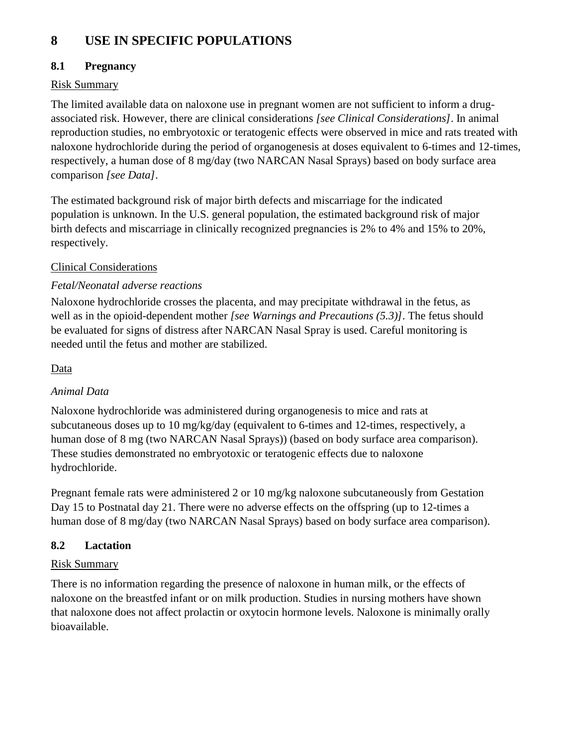# **8 USE IN SPECIFIC POPULATIONS**

# **8.1 Pregnancy**

# Risk Summary

The limited available data on naloxone use in pregnant women are not sufficient to inform a drugassociated risk. However, there are clinical considerations *[see Clinical Considerations]*. In animal reproduction studies, no embryotoxic or teratogenic effects were observed in mice and rats treated with naloxone hydrochloride during the period of organogenesis at doses equivalent to 6-times and 12-times, respectively, a human dose of 8 mg/day (two NARCAN Nasal Sprays) based on body surface area comparison *[see Data]*.

The estimated background risk of major birth defects and miscarriage for the indicated population is unknown. In the U.S. general population, the estimated background risk of major birth defects and miscarriage in clinically recognized pregnancies is 2% to 4% and 15% to 20%, respectively.

# Clinical Considerations

# *Fetal/Neonatal adverse reactions*

Naloxone hydrochloride crosses the placenta, and may precipitate withdrawal in the fetus, as well as in the opioid-dependent mother *[see Warnings and Precautions [\(5.3\)](#page-1-6)]*. The fetus should be evaluated for signs of distress after NARCAN Nasal Spray is used. Careful monitoring is needed until the fetus and mother are stabilized.

## Data

# *Animal Data*

Naloxone hydrochloride was administered during organogenesis to mice and rats at subcutaneous doses up to 10 mg/kg/day (equivalent to 6-times and 12-times, respectively, a human dose of 8 mg (two NARCAN Nasal Sprays)) (based on body surface area comparison). These studies demonstrated no embryotoxic or teratogenic effects due to naloxone hydrochloride.

Pregnant female rats were administered 2 or 10 mg/kg naloxone subcutaneously from Gestation Day 15 to Postnatal day 21. There were no adverse effects on the offspring (up to 12-times a human dose of 8 mg/day (two NARCAN Nasal Sprays) based on body surface area comparison).

# **8.2 Lactation**

# Risk Summary

There is no information regarding the presence of naloxone in human milk, or the effects of naloxone on the breastfed infant or on milk production. Studies in nursing mothers have shown that naloxone does not affect prolactin or oxytocin hormone levels. Naloxone is minimally orally bioavailable.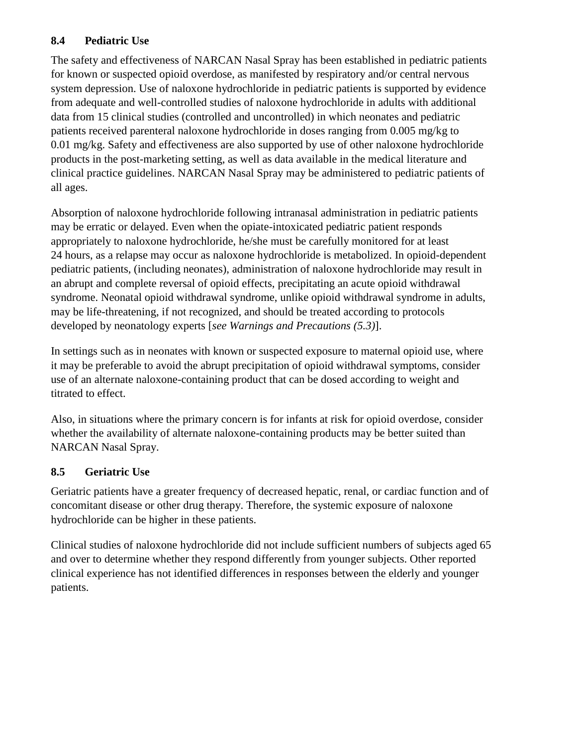# **8.4 Pediatric Use**

The safety and effectiveness of NARCAN Nasal Spray has been established in pediatric patients for known or suspected opioid overdose, as manifested by respiratory and/or central nervous system depression. Use of naloxone hydrochloride in pediatric patients is supported by evidence from adequate and well-controlled studies of naloxone hydrochloride in adults with additional data from 15 clinical studies (controlled and uncontrolled) in which neonates and pediatric patients received parenteral naloxone hydrochloride in doses ranging from 0.005 mg/kg to 0.01 mg/kg. Safety and effectiveness are also supported by use of other naloxone hydrochloride products in the post-marketing setting, as well as data available in the medical literature and clinical practice guidelines. NARCAN Nasal Spray may be administered to pediatric patients of all ages.

Absorption of naloxone hydrochloride following intranasal administration in pediatric patients may be erratic or delayed. Even when the opiate-intoxicated pediatric patient responds appropriately to naloxone hydrochloride, he/she must be carefully monitored for at least 24 hours, as a relapse may occur as naloxone hydrochloride is metabolized. In opioid-dependent pediatric patients, (including neonates), administration of naloxone hydrochloride may result in an abrupt and complete reversal of opioid effects, precipitating an acute opioid withdrawal syndrome. Neonatal opioid withdrawal syndrome, unlike opioid withdrawal syndrome in adults, may be life-threatening, if not recognized, and should be treated according to protocols developed by neonatology experts [*see Warnings and Precautions [\(5.3\)](#page-1-6)*].

In settings such as in neonates with known or suspected exposure to maternal opioid use, where it may be preferable to avoid the abrupt precipitation of opioid withdrawal symptoms, consider use of an alternate naloxone-containing product that can be dosed according to weight and titrated to effect.

Also, in situations where the primary concern is for infants at risk for opioid overdose, consider whether the availability of alternate naloxone-containing products may be better suited than NARCAN Nasal Spray.

# **8.5 Geriatric Use**

Geriatric patients have a greater frequency of decreased hepatic, renal, or cardiac function and of concomitant disease or other drug therapy. Therefore, the systemic exposure of naloxone hydrochloride can be higher in these patients.

Clinical studies of naloxone hydrochloride did not include sufficient numbers of subjects aged 65 and over to determine whether they respond differently from younger subjects. Other reported clinical experience has not identified differences in responses between the elderly and younger patients.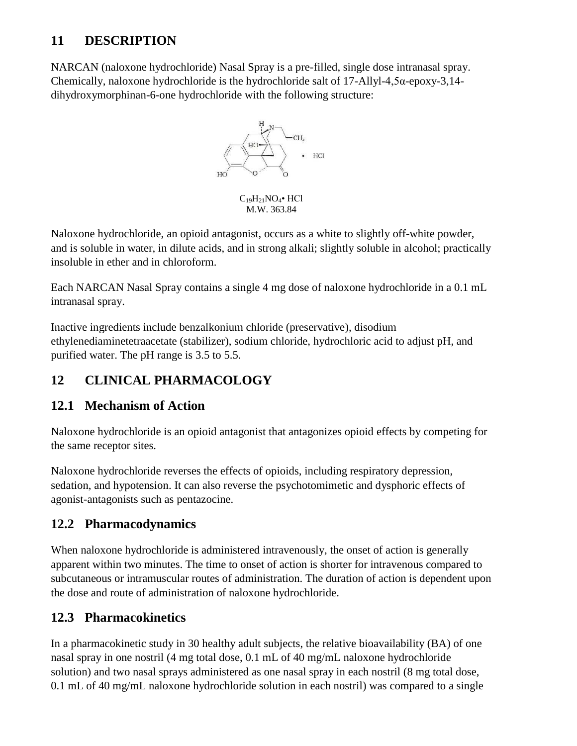# **11 DESCRIPTION**

NARCAN (naloxone hydrochloride) Nasal Spray is a pre-filled, single dose intranasal spray. Chemically, naloxone hydrochloride is the hydrochloride salt of 17-Allyl-4,5α-epoxy-3,14 dihydroxymorphinan-6-one hydrochloride with the following structure:



M.W. 363.84

Naloxone hydrochloride, an opioid antagonist, occurs as a white to slightly off-white powder, and is soluble in water, in dilute acids, and in strong alkali; slightly soluble in alcohol; practically insoluble in ether and in chloroform.

Each NARCAN Nasal Spray contains a single 4 mg dose of naloxone hydrochloride in a 0.1 mL intranasal spray.

Inactive ingredients include benzalkonium chloride (preservative), disodium ethylenediaminetetraacetate (stabilizer), sodium chloride, hydrochloric acid to adjust pH, and purified water. The pH range is 3.5 to 5.5.

# **12 CLINICAL PHARMACOLOGY**

# **12.1 Mechanism of Action**

Naloxone hydrochloride is an opioid antagonist that antagonizes opioid effects by competing for the same receptor sites.

Naloxone hydrochloride reverses the effects of opioids, including respiratory depression, sedation, and hypotension. It can also reverse the psychotomimetic and dysphoric effects of agonist-antagonists such as pentazocine.

# **12.2 Pharmacodynamics**

When naloxone hydrochloride is administered intravenously, the onset of action is generally apparent within two minutes. The time to onset of action is shorter for intravenous compared to subcutaneous or intramuscular routes of administration. The duration of action is dependent upon the dose and route of administration of naloxone hydrochloride.

# **12.3 Pharmacokinetics**

In a pharmacokinetic study in 30 healthy adult subjects, the relative bioavailability (BA) of one nasal spray in one nostril (4 mg total dose, 0.1 mL of 40 mg/mL naloxone hydrochloride solution) and two nasal sprays administered as one nasal spray in each nostril (8 mg total dose, 0.1 mL of 40 mg/mL naloxone hydrochloride solution in each nostril) was compared to a single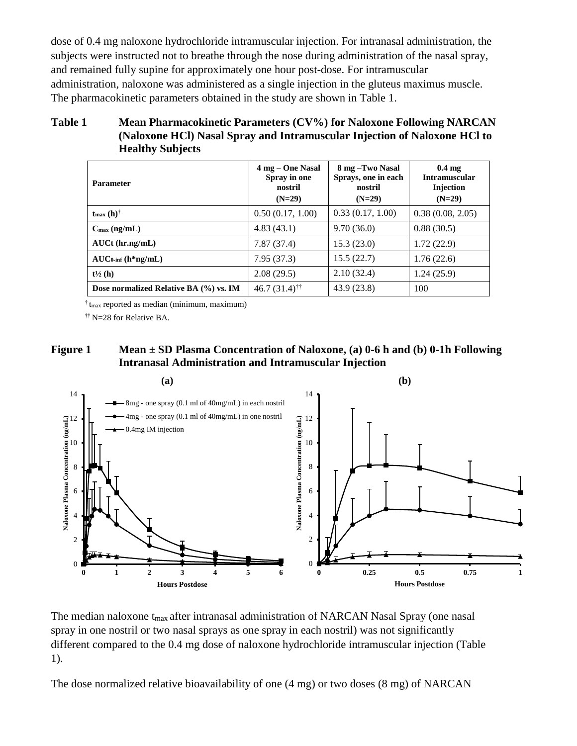dose of 0.4 mg naloxone hydrochloride intramuscular injection. For intranasal administration, the subjects were instructed not to breathe through the nose during administration of the nasal spray, and remained fully supine for approximately one hour post-dose. For intramuscular administration, naloxone was administered as a single injection in the gluteus maximus muscle. The pharmacokinetic parameters obtained in the study are shown in [Table 1.](#page-9-0)

### <span id="page-9-0"></span>**Table 1 Mean Pharmacokinetic Parameters (CV%) for Naloxone Following NARCAN (Naloxone HCl) Nasal Spray and Intramuscular Injection of Naloxone HCl to Healthy Subjects**

| <b>Parameter</b>                       | 4 mg – One Nasal<br>Spray in one<br>nostril<br>$(N=29)$ | 8 mg - Two Nasal<br>Sprays, one in each<br>nostril<br>$(N=29)$ | 0.4 <sub>mg</sub><br><b>Intramuscular</b><br>Injection<br>$(N=29)$ |
|----------------------------------------|---------------------------------------------------------|----------------------------------------------------------------|--------------------------------------------------------------------|
| $t_{\text{max}}(h)^{\dagger}$          | 0.50(0.17, 1.00)                                        | 0.33(0.17, 1.00)                                               | 0.38(0.08, 2.05)                                                   |
| $C_{\text{max}}$ (ng/mL)               | 4.83(43.1)                                              | 9.70(36.0)                                                     | 0.88(30.5)                                                         |
| $AUCt$ (hr.ng/mL)                      | 7.87(37.4)                                              | 15.3(23.0)                                                     | 1.72(22.9)                                                         |
| $AUC_{0\text{-inf}}$ (h*ng/mL)         | 7.95(37.3)                                              | 15.5(22.7)                                                     | 1.76(22.6)                                                         |
| $t\frac{1}{2}$ (h)                     | 2.08(29.5)                                              | 2.10(32.4)                                                     | 1.24(25.9)                                                         |
| Dose normalized Relative BA (%) vs. IM | $46.7(31.4)$ <sup>††</sup>                              | 43.9 (23.8)                                                    | 100                                                                |

 $\dagger$ <sub>tmax</sub> reported as median (minimum, maximum)

†† N=28 for Relative BA.

## **Figure 1 Mean ± SD Plasma Concentration of Naloxone, (a) 0-6 h and (b) 0-1h Following Intranasal Administration and Intramuscular Injection**



The median naloxone t<sub>max</sub> after intranasal administration of NARCAN Nasal Spray (one nasal spray in one nostril or two nasal sprays as one spray in each nostril) was not significantly different compared to the 0.4 mg dose of naloxone hydrochloride intramuscular injection [\(Table](#page-9-0)  [1\)](#page-9-0).

The dose normalized relative bioavailability of one (4 mg) or two doses (8 mg) of NARCAN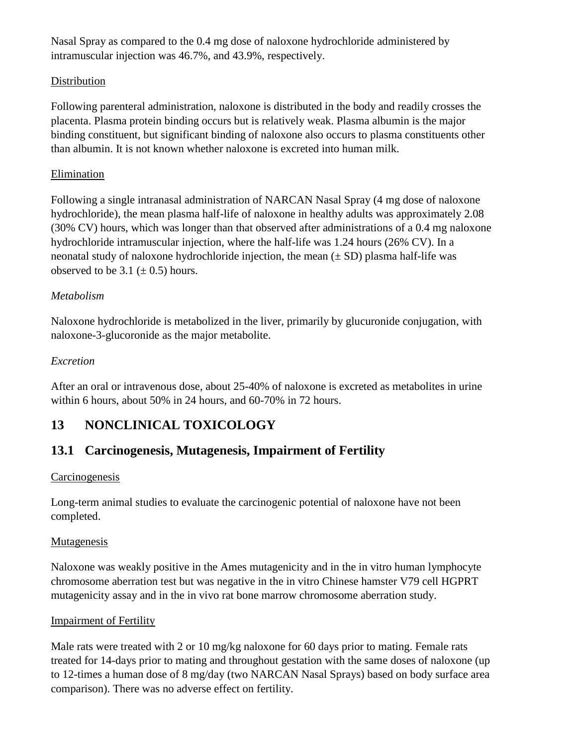Nasal Spray as compared to the 0.4 mg dose of naloxone hydrochloride administered by intramuscular injection was 46.7%, and 43.9%, respectively.

## **Distribution**

Following parenteral administration, naloxone is distributed in the body and readily crosses the placenta. Plasma protein binding occurs but is relatively weak. Plasma albumin is the major binding constituent, but significant binding of naloxone also occurs to plasma constituents other than albumin. It is not known whether naloxone is excreted into human milk.

### Elimination

Following a single intranasal administration of NARCAN Nasal Spray (4 mg dose of naloxone hydrochloride), the mean plasma half-life of naloxone in healthy adults was approximately 2.08 (30% CV) hours, which was longer than that observed after administrations of a 0.4 mg naloxone hydrochloride intramuscular injection, where the half-life was 1.24 hours (26% CV). In a neonatal study of naloxone hydrochloride injection, the mean  $(\pm SD)$  plasma half-life was observed to be 3.1 ( $\pm$  0.5) hours.

## *Metabolism*

Naloxone hydrochloride is metabolized in the liver, primarily by glucuronide conjugation, with naloxone-3-glucoronide as the major metabolite.

### *Excretion*

After an oral or intravenous dose, about 25-40% of naloxone is excreted as metabolites in urine within 6 hours, about 50% in 24 hours, and 60-70% in 72 hours.

# **13 NONCLINICAL TOXICOLOGY**

# **13.1 Carcinogenesis, Mutagenesis, Impairment of Fertility**

### **Carcinogenesis**

Long-term animal studies to evaluate the carcinogenic potential of naloxone have not been completed.

### Mutagenesis

Naloxone was weakly positive in the Ames mutagenicity and in the in vitro human lymphocyte chromosome aberration test but was negative in the in vitro Chinese hamster V79 cell HGPRT mutagenicity assay and in the in vivo rat bone marrow chromosome aberration study.

### Impairment of Fertility

Male rats were treated with 2 or 10 mg/kg naloxone for 60 days prior to mating. Female rats treated for 14-days prior to mating and throughout gestation with the same doses of naloxone (up to 12-times a human dose of 8 mg/day (two NARCAN Nasal Sprays) based on body surface area comparison). There was no adverse effect on fertility.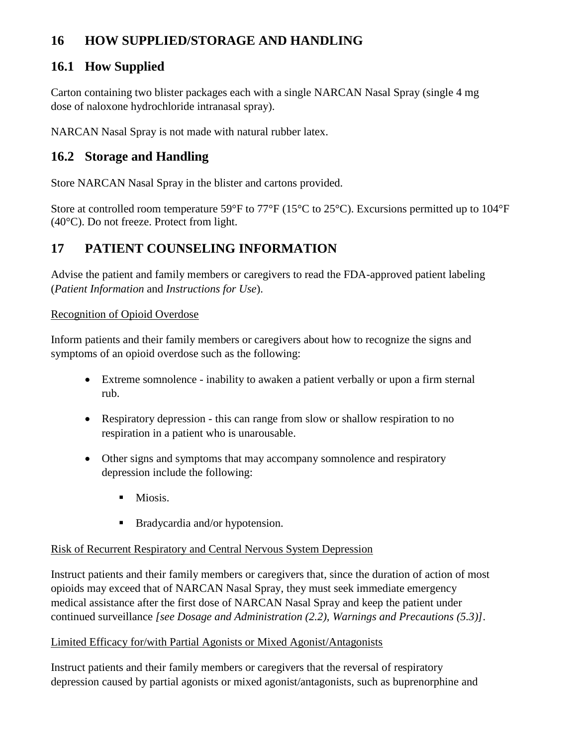# **16 HOW SUPPLIED/STORAGE AND HANDLING**

# **16.1 How Supplied**

Carton containing two blister packages each with a single NARCAN Nasal Spray (single 4 mg dose of naloxone hydrochloride intranasal spray).

NARCAN Nasal Spray is not made with natural rubber latex.

# **16.2 Storage and Handling**

Store NARCAN Nasal Spray in the blister and cartons provided.

Store at controlled room temperature 59°F to 77°F (15°C to 25°C). Excursions permitted up to 104°F (40°C). Do not freeze. Protect from light.

# **17 PATIENT COUNSELING INFORMATION**

Advise the patient and family members or caregivers to read the FDA-approved patient labeling (*Patient Information* and *Instructions for Use*).

## Recognition of Opioid Overdose

Inform patients and their family members or caregivers about how to recognize the signs and symptoms of an opioid overdose such as the following:

- Extreme somnolence inability to awaken a patient verbally or upon a firm sternal rub.
- Respiratory depression this can range from slow or shallow respiration to no respiration in a patient who is unarousable.
- Other signs and symptoms that may accompany somnolence and respiratory depression include the following:
	- $\blacksquare$  Miosis.
	- **Bradycardia and/or hypotension.**

# Risk of Recurrent Respiratory and Central Nervous System Depression

Instruct patients and their family members or caregivers that, since the duration of action of most opioids may exceed that of NARCAN Nasal Spray, they must seek immediate emergency medical assistance after the first dose of NARCAN Nasal Spray and keep the patient under continued surveillance *[see Dosage and Administration [\(2.2\)](#page-1-2), Warnings and Precautions [\(5.3\)](#page-1-6)]*.

### Limited Efficacy for/with Partial Agonists or Mixed Agonist/Antagonists

Instruct patients and their family members or caregivers that the reversal of respiratory depression caused by partial agonists or mixed agonist/antagonists, such as buprenorphine and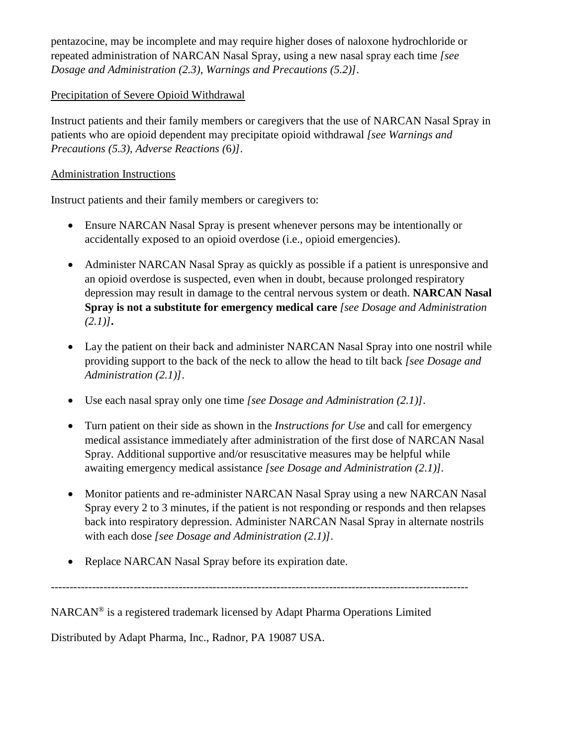pentazocine, may be incomplete and may require higher doses of naloxone hydrochloride or repeated administration of NARCAN Nasal Spray, using a new nasal spray each time *[see Dosage and Administration [\(2.3\)](#page-3-0), Warnings and Precautions [\(5.2\)](#page-1-5)]*.

### Precipitation of Severe Opioid Withdrawal

Instruct patients and their family members or caregivers that the use of NARCAN Nasal Spray in patients who are opioid dependent may precipitate opioid withdrawal *[see Warnings and Precautions [\(5.3\)](#page-1-6), Adverse Reactions (*[6](#page-1-7)*)]*.

### Administration Instructions

Instruct patients and their family members or caregivers to:

- Ensure NARCAN Nasal Spray is present whenever persons may be intentionally or accidentally exposed to an opioid overdose (i.e., opioid emergencies).
- Administer NARCAN Nasal Spray as quickly as possible if a patient is unresponsive and an opioid overdose is suspected, even when in doubt, because prolonged respiratory depression may result in damage to the central nervous system or death. **NARCAN Nasal Spray is not a substitute for emergency medical care** *[see Dosage and Administration [\(2.1\)](#page-1-1)]***.**
- Lay the patient on their back and administer NARCAN Nasal Spray into one nostril while providing support to the back of the neck to allow the head to tilt back *[see Dosage and Administration [\(2.1\)](#page-1-1)]*.
- Use each nasal spray only one time *[see Dosage and Administration [\(2.1\)](#page-1-1)]*.
- Turn patient on their side as shown in the *Instructions for Use* and call for emergency medical assistance immediately after administration of the first dose of NARCAN Nasal Spray. Additional supportive and/or resuscitative measures may be helpful while awaiting emergency medical assistance *[see Dosage and Administration [\(2.1\)](#page-1-1)].*
- Monitor patients and re-administer NARCAN Nasal Spray using a new NARCAN Nasal Spray every 2 to 3 minutes, if the patient is not responding or responds and then relapses back into respiratory depression. Administer NARCAN Nasal Spray in alternate nostrils with each dose *[see Dosage and Administration [\(2.1\)](#page-1-1)]*.
- Replace NARCAN Nasal Spray before its expiration date.

---------------------------------------------------------------------------------------------------------------

NARCAN® is a registered trademark licensed by Adapt Pharma Operations Limited

Distributed by Adapt Pharma, Inc., Radnor, PA 19087 USA.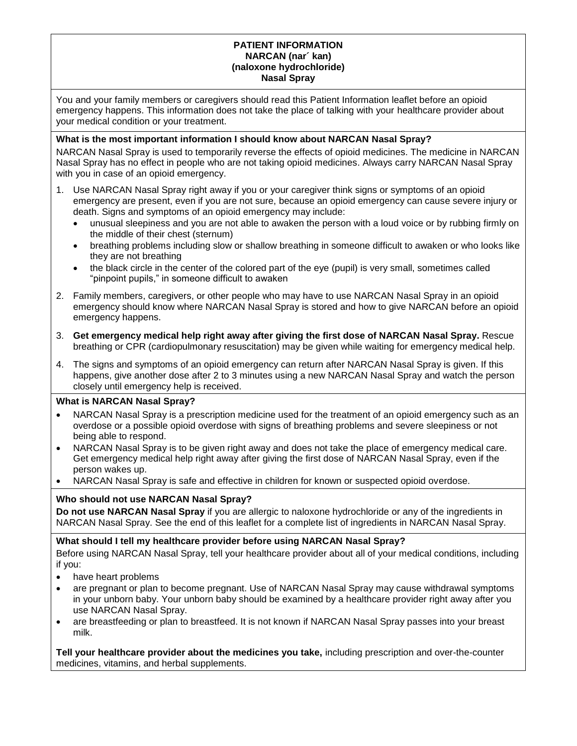### **PATIENT INFORMATION NARCAN (nar´ kan) (naloxone hydrochloride) Nasal Spray**

You and your family members or caregivers should read this Patient Information leaflet before an opioid emergency happens. This information does not take the place of talking with your healthcare provider about your medical condition or your treatment.

### **What is the most important information I should know about NARCAN Nasal Spray?**

NARCAN Nasal Spray is used to temporarily reverse the effects of opioid medicines. The medicine in NARCAN Nasal Spray has no effect in people who are not taking opioid medicines. Always carry NARCAN Nasal Spray with you in case of an opioid emergency.

- 1. Use NARCAN Nasal Spray right away if you or your caregiver think signs or symptoms of an opioid emergency are present, even if you are not sure, because an opioid emergency can cause severe injury or death. Signs and symptoms of an opioid emergency may include:
	- unusual sleepiness and you are not able to awaken the person with a loud voice or by rubbing firmly on the middle of their chest (sternum)
	- breathing problems including slow or shallow breathing in someone difficult to awaken or who looks like they are not breathing
	- the black circle in the center of the colored part of the eye (pupil) is very small, sometimes called "pinpoint pupils," in someone difficult to awaken
- 2. Family members, caregivers, or other people who may have to use NARCAN Nasal Spray in an opioid emergency should know where NARCAN Nasal Spray is stored and how to give NARCAN before an opioid emergency happens.
- 3. **Get emergency medical help right away after giving the first dose of NARCAN Nasal Spray.** Rescue breathing or CPR (cardiopulmonary resuscitation) may be given while waiting for emergency medical help.
- 4. The signs and symptoms of an opioid emergency can return after NARCAN Nasal Spray is given. If this happens, give another dose after 2 to 3 minutes using a new NARCAN Nasal Spray and watch the person closely until emergency help is received.

### **What is NARCAN Nasal Spray?**

- NARCAN Nasal Spray is a prescription medicine used for the treatment of an opioid emergency such as an overdose or a possible opioid overdose with signs of breathing problems and severe sleepiness or not being able to respond.
- NARCAN Nasal Spray is to be given right away and does not take the place of emergency medical care. Get emergency medical help right away after giving the first dose of NARCAN Nasal Spray, even if the person wakes up.
- NARCAN Nasal Spray is safe and effective in children for known or suspected opioid overdose.

### **Who should not use NARCAN Nasal Spray?**

**Do not use NARCAN Nasal Spray** if you are allergic to naloxone hydrochloride or any of the ingredients in NARCAN Nasal Spray. See the end of this leaflet for a complete list of ingredients in NARCAN Nasal Spray.

### **What should I tell my healthcare provider before using NARCAN Nasal Spray?**

Before using NARCAN Nasal Spray, tell your healthcare provider about all of your medical conditions, including if you:

- have heart problems
- are pregnant or plan to become pregnant. Use of NARCAN Nasal Spray may cause withdrawal symptoms in your unborn baby. Your unborn baby should be examined by a healthcare provider right away after you use NARCAN Nasal Spray.
- are breastfeeding or plan to breastfeed. It is not known if NARCAN Nasal Spray passes into your breast milk.

**Tell your healthcare provider about the medicines you take,** including prescription and over-the-counter medicines, vitamins, and herbal supplements.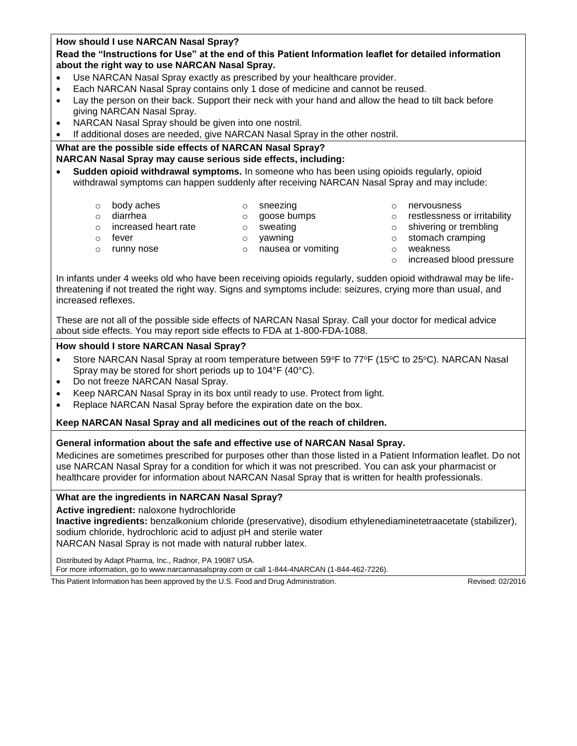| How should I use NARCAN Nasal Spray?<br>Read the "Instructions for Use" at the end of this Patient Information leaflet for detailed information<br>about the right way to use NARCAN Nasal Spray.<br>Use NARCAN Nasal Spray exactly as prescribed by your healthcare provider.<br>Each NARCAN Nasal Spray contains only 1 dose of medicine and cannot be reused.<br>Lay the person on their back. Support their neck with your hand and allow the head to tilt back before<br>giving NARCAN Nasal Spray.<br>NARCAN Nasal Spray should be given into one nostril.<br>$\bullet$ |                                                                               |  |  |                              |  |  |
|-------------------------------------------------------------------------------------------------------------------------------------------------------------------------------------------------------------------------------------------------------------------------------------------------------------------------------------------------------------------------------------------------------------------------------------------------------------------------------------------------------------------------------------------------------------------------------|-------------------------------------------------------------------------------|--|--|------------------------------|--|--|
|                                                                                                                                                                                                                                                                                                                                                                                                                                                                                                                                                                               |                                                                               |  |  |                              |  |  |
|                                                                                                                                                                                                                                                                                                                                                                                                                                                                                                                                                                               |                                                                               |  |  |                              |  |  |
|                                                                                                                                                                                                                                                                                                                                                                                                                                                                                                                                                                               |                                                                               |  |  |                              |  |  |
|                                                                                                                                                                                                                                                                                                                                                                                                                                                                                                                                                                               |                                                                               |  |  |                              |  |  |
|                                                                                                                                                                                                                                                                                                                                                                                                                                                                                                                                                                               |                                                                               |  |  |                              |  |  |
|                                                                                                                                                                                                                                                                                                                                                                                                                                                                                                                                                                               |                                                                               |  |  |                              |  |  |
|                                                                                                                                                                                                                                                                                                                                                                                                                                                                                                                                                                               |                                                                               |  |  |                              |  |  |
|                                                                                                                                                                                                                                                                                                                                                                                                                                                                                                                                                                               |                                                                               |  |  |                              |  |  |
|                                                                                                                                                                                                                                                                                                                                                                                                                                                                                                                                                                               | If additional doses are needed, give NARCAN Nasal Spray in the other nostril. |  |  |                              |  |  |
|                                                                                                                                                                                                                                                                                                                                                                                                                                                                                                                                                                               |                                                                               |  |  |                              |  |  |
| What are the possible side effects of NARCAN Nasal Spray?                                                                                                                                                                                                                                                                                                                                                                                                                                                                                                                     |                                                                               |  |  |                              |  |  |
| NARCAN Nasal Spray may cause serious side effects, including:                                                                                                                                                                                                                                                                                                                                                                                                                                                                                                                 |                                                                               |  |  |                              |  |  |
| Sudden opioid withdrawal symptoms. In someone who has been using opioids regularly, opioid                                                                                                                                                                                                                                                                                                                                                                                                                                                                                    |                                                                               |  |  |                              |  |  |
| withdrawal symptoms can happen suddenly after receiving NARCAN Nasal Spray and may include:                                                                                                                                                                                                                                                                                                                                                                                                                                                                                   |                                                                               |  |  |                              |  |  |
|                                                                                                                                                                                                                                                                                                                                                                                                                                                                                                                                                                               |                                                                               |  |  |                              |  |  |
| body aches<br>sneezing<br>nervousness<br>$\circ$<br>$\circ$<br>$\circ$                                                                                                                                                                                                                                                                                                                                                                                                                                                                                                        |                                                                               |  |  |                              |  |  |
| diarrhea<br>goose bumps<br>$\Omega$<br>$\circ$<br>$\circ$                                                                                                                                                                                                                                                                                                                                                                                                                                                                                                                     |                                                                               |  |  | restlessness or irritability |  |  |
| increased heart rate<br>shivering or trembling<br>sweating<br>$\circ$<br>$\circ$<br>$\circ$                                                                                                                                                                                                                                                                                                                                                                                                                                                                                   |                                                                               |  |  |                              |  |  |
| stomach cramping<br>yawning<br>fever<br>$\circ$<br>$\circ$<br>$\circ$                                                                                                                                                                                                                                                                                                                                                                                                                                                                                                         |                                                                               |  |  |                              |  |  |

- 
- $\circ$  runny nose  $\circ$  o nausea or vomiting  $\circ$  weakness
- - o increased blood pressure

In infants under 4 weeks old who have been receiving opioids regularly, sudden opioid withdrawal may be lifethreatening if not treated the right way. Signs and symptoms include: seizures, crying more than usual, and increased reflexes.

These are not all of the possible side effects of NARCAN Nasal Spray. Call your doctor for medical advice about side effects. You may report side effects to FDA at 1-800-FDA-1088.

### **How should I store NARCAN Nasal Spray?**

- Store NARCAN Nasal Spray at room temperature between  $59^{\circ}F$  to  $77^{\circ}F$  (15 $^{\circ}C$  to 25 $^{\circ}C$ ). NARCAN Nasal Spray may be stored for short periods up to 104°F (40°C).
- Do not freeze NARCAN Nasal Spray.
- Keep NARCAN Nasal Spray in its box until ready to use. Protect from light.
- Replace NARCAN Nasal Spray before the expiration date on the box.

#### **Keep NARCAN Nasal Spray and all medicines out of the reach of children.**

### **General information about the safe and effective use of NARCAN Nasal Spray.**

Medicines are sometimes prescribed for purposes other than those listed in a Patient Information leaflet. Do not use NARCAN Nasal Spray for a condition for which it was not prescribed. You can ask your pharmacist or healthcare provider for information about NARCAN Nasal Spray that is written for health professionals.

#### **What are the ingredients in NARCAN Nasal Spray?**

**Active ingredient:** naloxone hydrochloride

**Inactive ingredients:** benzalkonium chloride (preservative), disodium ethylenediaminetetraacetate (stabilizer), sodium chloride, hydrochloric acid to adjust pH and sterile water NARCAN Nasal Spray is not made with natural rubber latex.

Distributed by Adapt Pharma, Inc., Radnor, PA 19087 USA.

For more information, go to www.narcannasalspray.com or call 1-844-4NARCAN (1-844-462-7226).

This Patient Information has been approved by the U.S. Food and Drug Administration. Revised: 02/2016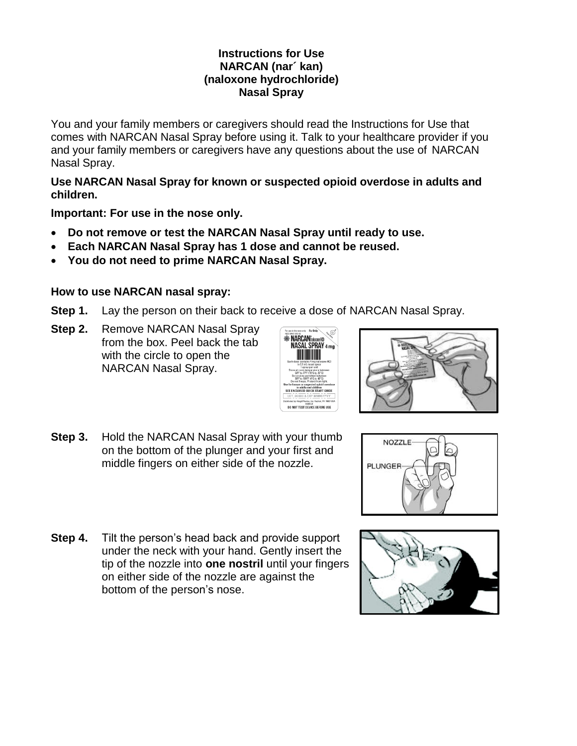## **Instructions for Use NARCAN (nar´ kan) (naloxone hydrochloride) Nasal Spray**

You and your family members or caregivers should read the Instructions for Use that comes with NARCAN Nasal Spray before using it. Talk to your healthcare provider if you and your family members or caregivers have any questions about the use of NARCAN Nasal Spray.

**Use NARCAN Nasal Spray for known or suspected opioid overdose in adults and children.** 

**Important: For use in the nose only.** 

- **Do not remove or test the NARCAN Nasal Spray until ready to use.**
- **Each NARCAN Nasal Spray has 1 dose and cannot be reused.**
- **You do not need to prime NARCAN Nasal Spray.**

# **How to use NARCAN nasal spray:**

- **Step 1.** Lay the person on their back to receive a dose of NARCAN Nasal Spray.
- **Step 2.** Remove NARCAN Nasal Spray from the box. Peel back the tab with the circle to open the NARCAN Nasal Spray.





**Step 3.** Hold the NARCAN Nasal Spray with your thumb on the bottom of the plunger and your first and middle fingers on either side of the nozzle.



**Step 4.** Tilt the person's head back and provide support under the neck with your hand. Gently insert the tip of the nozzle into **one nostril** until your fingers on either side of the nozzle are against the bottom of the person's nose.